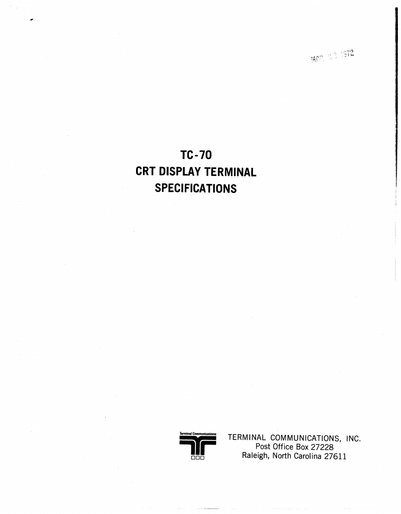MAR 39 1972

# $TC-70$ **CRT DISPLAY TERMINAL SPECIFICATIONS**



TERMINAL COMMUNICATIONS, INC.<br>Post Office Box 27228 Raleigh, North Carolina 27611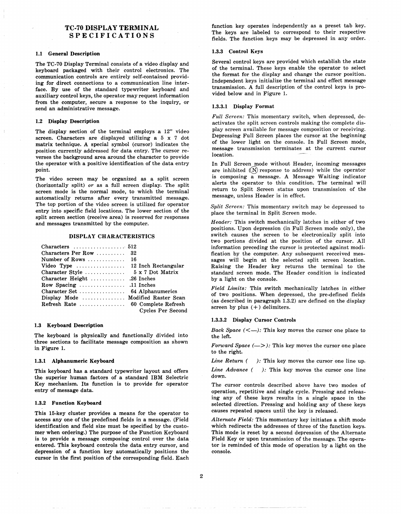# TC-70 DISPLAY TERMINAL SPECIFICATIONS

#### 1.1 General Description

The TC-70 Display Terminal consists of a video display and keyboard packaged with their control electronics. The communication controls are entirely self-contained providing for direct connections to a communication line interface. By use of the standard typewriter keyboard and auxiliary control keys, the operator may request information from the computer, secure a response to the inquiry, or send an administrative message.

#### 1.2 Display Description

The display section of the terminal employs a 12" video screen. Characters are displayed utilizing a 5 x 7 dot matrix technique. A special symbol (cursor) indicates the position currently addressed for data entry. The cursor re-' verses the background area around the character to provide the operator with a positive identification of the data entry point.

The video screen may be organized as a split screen (horizontally split) *or* as a full screen display. The split screen mode is the normal mode, to which the terminal automatically returns after every transmitted message. The top portion of the video screen is utilized for operator entry into specific field locations. The lower section of the split screen section (receive area) is reserved for responses and messages transmitted by the computer.

#### DISPLAY CHARACTERISTICS

| Characters $\ldots \ldots \ldots \ldots \ldots 512$        |                          |
|------------------------------------------------------------|--------------------------|
|                                                            |                          |
| Characters Per Row $32$                                    |                          |
| Number of Rows $\dots \dots \dots \dots \dots 16$          |                          |
| Video Type $\dots\dots\dots\dots\dots 12$ Inch Rectangular |                          |
|                                                            |                          |
| Character Height 26 Inches                                 |                          |
| Row Spacing 11 Inches                                      |                          |
|                                                            |                          |
| Display Mode  Modified Raster Scan                         |                          |
|                                                            |                          |
|                                                            | <b>Cycles Per Second</b> |

#### 1.3 Keyboard Description

The keyboard is physically and functionally divided into three sections to facilitate message composition as shown in Figure 1.

#### 1.3.1 Alphanumeric Keyboard

This keyboard has a standard typewriter layout and offers the superior human factors of a standard IBM Selectric Key mechanism. Its function is to provide for operator entry of message data.

#### 1.3.2 Function Keyboard

This 15-key cluster provides a means for the operator to access anyone of the predefined fields in a message. (Field identification and field size must be specified by the customer when ordering.) The purpose of the Function Keyboard is to provide a message composing control over the data entered. This keyboard controls the data entry cursor, and depression of a function key automatically positions the cursor in the first position of the corresponding field. Each function key operates independently as a preset tab key. The keys are labeled to correspond to their respective fields. The function keys may be depressed in any order.

#### 1.3.3 Control Keys

Several control keys are provided which establish the state of the terminal. These keys enable the operator to select the format for the display and change the cursor position. Independent keys initialize the terminal and effect message transmission. A full description of the control keys is provided below and in Figure 1.

#### 1.3.3.1 Display Format

*Full Screen:* This momentary switch, when depressed, deactivates the split screen controls making the complete display screen available for message composition or receiving. Depressing Full Screen places the cursor at the beginning of the lower light on the console. In Full Screen mode, message transmission terminates at the current cursor location.

In Full Screen mode without Header, incoming messages are inhibited  $(N)$  response to address) while the operator is composing a message. A Message Waiting indicator alerts the operator to this condition. The terminal will return to Split Screen status upon transmission of the message, unless Header is in effect.

*Split Screen:* This momentary switch may be depressed to place the terminal in Split Screen mode.

*Header:* This switch mechanically latches in either of two positions. Upon depression (in Full Screen mode only), the switch causes the screen to be electronically split into two portions divided at the position of the cursor. All information preceding the cursor is protected against modification by the computer. Any subsequent recceived messages will begin at the selected split screen location. Raising the Header key returns the terminal to the standard screen mode. The Header condition is indicated by a light on the console.

*Field Limits:* This switch mechanically latches in either of two positions. When depressed, the pre-defined fields (as described in paragraph 1.3.2) are defined on the display screen by plus  $(+)$  delimiters.

#### 1.3.3.2 Display Cursor Controls

*Back Space*  $(\leq -)$ : This key moves the cursor one place to the left.

*Forward Space*  $(->)$ : This key moves the cursor one place to the right.

*Line Return ( ):* This key moves the cursor one line up.

*Line Advance* ( ): This key moves the cursor one line down.

The cursor controls described above have two modes of operation, repetitive and single cycle. Pressing and releasing any of these keys results in a single space in the selected direction. Pressing and holding any of these keys causes repeated spaces until the key is released.

*Alternate Field:* This momentary key initiates a shift mode which redirects the addresses of three of the function keys. This mode is reset by a second depression of the Alternate Field Key or upon transmission of the message. The operator is reminded of this mode of operation by a light on the console.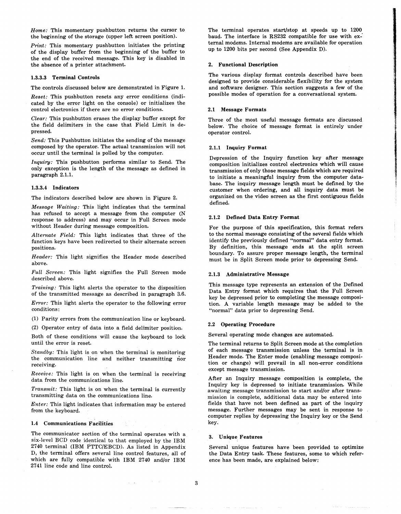*Home:* This momentary pushbutton returns the cursor to the beginning of the storage (upper left screen position).

*Print:* This momentary pushbutton initiates the printing of the display buffer from the beginning of the buffer to the end of the received message. This key is disabled in the absence of a printer attachment.

#### 1.3.3.3 Terminal Controls

The controls discussed below are demonstrated in Figure 1.

*Reset:* This pushbutton resets any error conditions (indicated by the error light on the console) or initializes the control electronics if there are no error conditions.

*Clear:* This pushbutton erases the display buffer except for the field delimiters in the case that Field Limit is depressed.

*Send:* This Pushbutton initiates the sending of the message composed by the operator. The actual transmission will not occur until the terminal is polled by the computer.

*Inquiry:* This pushbutton performs similar to Send. The only exception is the length of the message as defined in paragraph 2.1.1.

#### 1.3.3.4 Indicators

The indicators described below are shown in Figure 2.

*Message Waiting:* This light indicates that the terminal has refused to accept a message from the computer (N response to address) and may occur in Full Screen mode without Header during message composition.

*Alternate Field:* This light indicates that three of the function keys have been redirected to their alternate screen positions.

*Header:* This light signifies the Header mode described above.

*Full Screen:* This light signifies the Full Screen mode described above.

*Training:* This light alerts the operator to the disposition of the transmitted message as described in paragraph 3.6.

*Error:* This light alerts the operator to the following error conditions:

(1) Parity errors from the communication line or keyboard.

(2) Operator entry of data into a field delimiter position.

Both of these conditions will cause the keyboard to lock until the error is reset.

*Standby:* This light is on when the terminal is monitoring the communication line and neither transmitting nor receiving.

*Receive:* This light is on when the terminal is receiving data from the communications line.

*Transmit:* This light is on when the terminal is currently transmitting data on the communications line.

*Enter:* This light indicates that information may be entered from the keyboard.

#### 1.4 Communications Facilities

The communicator section of the terminal operates with a six-level BCD code identical to that employed by the IBM 2740 terminal (IBM PTTC/EBCD). As listed in Appendix D, the terminal offers several line control features, all of which are fully compatible with IBM 2740 and/or IBM 2741 line code and line control.

 $\omega = \omega$ 

The terminal operates start/stop at speeds up to 1200 baud. The interface is RS232 compatible for use with external modems. Internal modems are available for operation up to 1200 bits per second (See Appendix D).

#### 2. Functional Description

The various display format controls described have been designed to provide considerable flexibility for the system and software designer. This section suggests a few of the possible modes of operation for a conversational system.

#### 2.1 Message Formats

Three of the most useful message formats are discussed below. The choice of message format is entirely under operator control.

#### 2.1.1 Inquiry Format

Depression of the Inquiry function key after message composition initializes control electronics which will cause transmission of only those message fields which are required to initiate a meaningful inquiry from the computer database. The inquiry message length must be defined by the customer when ordering, and all inquiry data must be organized on the video screen as the first contiguous fields defined.

#### 2.1.2 Defined Data Entry Format

For the purpose of this specification, this format refers to the normal message consisting of the several fields which identify the previously defined "normal" data entry format. By definition, this message ends at the split screen boundary. To assure proper message length, the terminal must be in Split Screen mode prior to depressing Send.

#### 2.1.3 Administrative Message

This message type represents an extension of the Defined Data Entry format which requires that the Full Screen key be depressed prior to completing the message composition. A variable length message may be added to the "normal" data prior to depressing Send.

#### 2.2 Operating Procedure

Several operating mode changes are automated.

The terminal returns to Split Screen mode at the completion of each message transmission unless the terminal is in Header mode. The Enter mode (enabling message composition or change) will prevail in all non-error conditions except message transmission.

After an Inquiry message composition is complete, the Inquiry key is depressed to initiate transmission. While awaitmg message transmission to start and/or after transmission is complete, additional data may be entered into fields that have not been defined as part of the inquiry message. Further messages may be sent in response to computer replies by depressing the Inquiry key or the Send key.

### 3. Unique Features

Several unique features have been provided to optimize the Data Entry task. These features, some to which reference has been made, are explained below: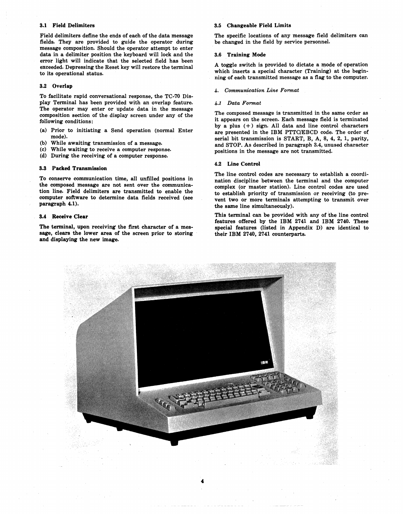#### 3.1 Field Delimiters

Field delimiters define the ends of each of the data message fields. They are provided to guide the operator during message composition. Should the operator attempt to enter data in a delimiter position the keyboard will lock and the error light will indicate that the selected field has been exceeded. Depressing the Reset key will restore the terminal to its operational status.

#### 3.2 Overlap

To facilitate rapid conversational response, the TC-70 Display Terminal has been provided with an overlap feature. The operator may enter or update data in the message composition section of the display screen under any of the following conditions:

- (a) Prior to initiating a Send operation (normal Enter mode).
- 
- (b) While awaiting transmission of a message.<br>(c) While waiting to receive a computer resport While waiting to receive a computer response.
- (d) During the receiving of a computer response.

#### 3.3 Packed Transmission

To conserve communication time, all unfilled positions in the composed message are not sent over the communication line. Field delimiters are transmitted to enable the computer software to determine data fields received (see paragraph 4.1).

#### 3.4 Receive Clear

The terminal, upon receiving' the first character of a message, clears the lower area of the screen prior to storing and displaying the new image.

#### 3.5 Changeable Field Limits

The specific locations of any message field delimiters can be changed in the field by service personnel.

#### 3.6 Training Mode

A toggle switch is provided to dictate a mode of operation which inserts a special character (Training) at the beginning of each transmitted message as a flag to the computer.

#### *4. Communication Line Format*

#### *4.1 Data Format*

The composed message is transmitted in the same order as it appears on the screen. Each message field is terminated by a plus  $(+)$  sign. All data and line control characters are presented in the IBM *PTTC/EBCD* code. The order of serial bit transmission is START, B, A, 8, 4, 2, 1, parity, and STOP. As described in paragraph 3.4, unused character positions in the message are not transmitted.

#### 4.2 Line Control

The line control codes are necessary to establish a coordination discipline between the terminal and the computer complex (or master station). Line control codes are used to establish priority of transmission or receiving (to prevent two or more terminals attempting to transmit over the same line simultaneously).

This terminal can be provided with any of the line control features offered by the IBM 2741 and IBM 2740. These special features (listed in Appendix D) are identical to their IBM 2740, 2741 counterparts.

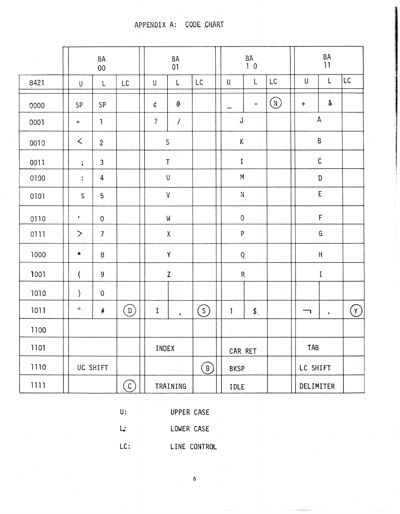APPENDIX A: CODE CHART

| $\sim$ |                              | $\mathsf{BA}$<br>$00\,$ |     |                              |                           |                    | BA<br>10               |                             |       | $\mathsf{BA}$<br>$\mathbf{11}$ |                  |                      |           |                |
|--------|------------------------------|-------------------------|-----|------------------------------|---------------------------|--------------------|------------------------|-----------------------------|-------|--------------------------------|------------------|----------------------|-----------|----------------|
| 8421   | $\sf U$                      | L                       | LC  |                              | U                         | L                  | $\mathsf{L}\mathsf{C}$ | ${\sf U}$                   | L     | $\mathsf{LC}$                  | $\sf U$          | $\mathsf{L}$         |           | LC.            |
| 0000   | SP                           | SP                      |     |                              | ¢                         | $\mathbf 6$        |                        |                             | -     | $\bigcirc$                     | $\boldsymbol{+}$ |                      | $\pmb{8}$ |                |
| 0001   | $\equiv$                     | $\mathbf{1}$            |     | $\ddot{\cdot}$<br>$\sqrt{2}$ |                           |                    |                        | $\mathsf J$                 |       |                                | ${\sf A}$        |                      |           |                |
| 0010   | $\lt$                        | $\overline{c}$          |     | $\mathsf S$                  |                           |                    |                        | $\mathsf K$                 |       |                                |                  | $\sf B$              |           |                |
| 0011   | $\ddot{\phantom{1}}$         | $\mathbf{3}$            |     | $\sf T$                      |                           |                    |                        | $\bf I$                     |       |                                |                  | $\mathsf C$          |           |                |
| 0100   | $\ddot{\bullet}$             | $\overline{4}$          |     | $\sf U$                      |                           |                    |                        | ${\sf M}$                   |       |                                |                  | D                    |           |                |
| 0101   | $\%$                         | 5                       |     |                              | $\ensuremath{\mathsf{V}}$ |                    | ${\sf N}$              |                             |       |                                | E                |                      |           |                |
| 0110   | $\mathbf{I}$                 | $\pmb{0}$               |     |                              | ${\sf M}$                 |                    | $\mathsf 0$            |                             |       |                                | $\mathsf F$      |                      |           |                |
| 0111   | $\left\langle \right\rangle$ | $\overline{7}$          |     |                              | $\mathsf X$               |                    | ${\sf P}$              |                             |       | ${\mathsf G}$                  |                  |                      |           |                |
| 1000   | $\star$                      | $\, 8$                  |     |                              | $\pmb{\mathsf{Y}}$        |                    | ${\sf Q}$              |                             |       | $\sf H$                        |                  |                      |           |                |
| 1001   | $\overline{\mathcal{L}}$     | 9                       |     |                              | $\mathsf Z$               |                    | ${\sf R}$              |                             |       | I                              |                  |                      |           |                |
| 1010   | $\mathcal{C}$                | $\boldsymbol{0}$        |     |                              |                           |                    |                        |                             |       | $\sim$                         |                  |                      |           |                |
| 1011   | $\mathbf{H}$                 | $\#$                    | (0) |                              | $\mathbf I$               | $\bar{\mathbf{y}}$ | $\circled{s}$          | $\mathbf{I}$                | $$$ . |                                |                  | $\ddot{\phantom{a}}$ |           | $(\mathsf{Y})$ |
| 1100   |                              |                         |     |                              |                           |                    |                        | $\mathcal{L}_{\mathcal{A}}$ |       |                                |                  |                      |           |                |
| 1101   |                              |                         |     |                              | INDEX                     |                    | CAR RET                |                             | TAB   |                                |                  |                      |           |                |
| 1110   | UC SHIFT                     |                         |     |                              |                           |                    | (B)                    | <b>BKSP</b>                 |       | LC SHIFT                       |                  |                      | $\sim$    |                |
| 1111   | $\binom{c}{c}$               |                         |     |                              | TRAINING                  |                    |                        | IDLE                        |       |                                | DELIMITER        |                      |           |                |

 $U$ :

UPPER CASE

 $\mathsf{L}$ : LOWER CASE

 $LC:$ LINE CONTROL

 $\overline{5}$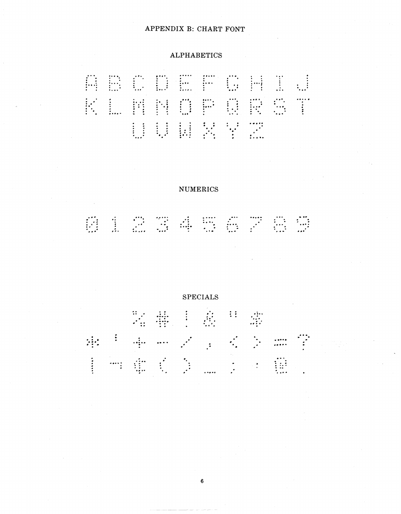# APPENDIX B: CHART FONT

# **ALPHABETICS**



# **NUMERICS**

# 610774575765

**SPECIALS** 又事!我是常常 我<sup>手</sup>手一点了,又多两字 主作重要的第三章 重。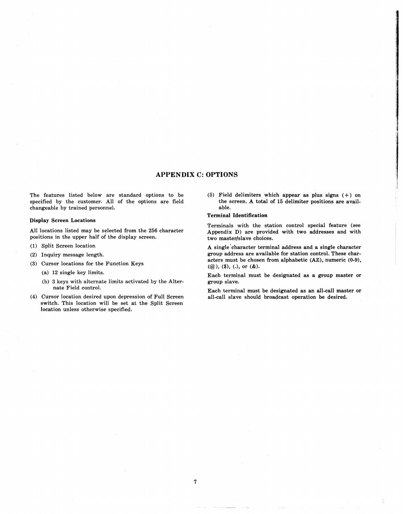# **APPENDIX C: OPTIONS**

The features listed below are standard options to be specified by the customer. All of the options are field changeable by trained personnel.

#### **Display Screen Locations**

All locations listed may be selected from the 256 character positions in the upper half of the display screen.

- (1) Split Screen location
- (2) Inquiry message length.
- (3) Cursor locations for the Function Keys
	- (a) 12 single key limits.
	- (b) 3 keys with alternate limits activated by the Alternate Field control.
- (4) Cursor location desired upon depression of Full Screen switch. This location will be set at the Split Screen location unless otherwise specified.

(5) Field delimiters which appear as plus signs  $(+)$  on the screen. A total of 15 delimiter positions are available.

#### **Terminal Identification**

Terminals with the station control special feature (see Appendix D) are provided with two addresses and with two master/slave choices.

A single 'character terminal address and a single character group address are available for station control. These characters must be chosen from alphabetic (AZ), numeric (0-9),  $(Q<sub>0</sub>)$ ,  $(\$)$ ,  $(.)$ , or  $(\&)$ .

Each terminal must be designated as a group master or group slave.

Each terminal must be designated as an all-call master or all-call slave should broadcast operation be desired.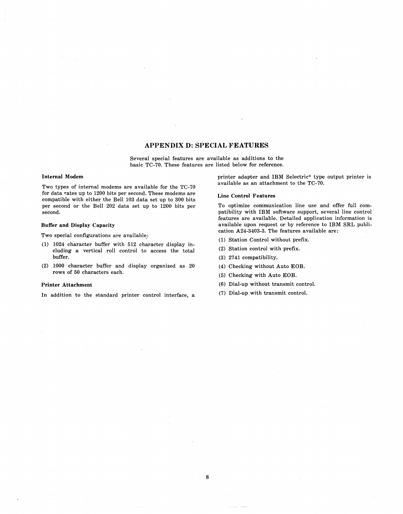# APPENDIX D: SPECIAL FEATURES

Several special features are available as additions to the basic TC-70. These features are listed below for reference.

#### Internal Modern

Two types of internal modems are available for the TC-70 for data rates up to 1200 bits per second. These modems are compatible with either the Bell 103 data set up to 300 bits per second or the Bell 202 data set up to 1200 bits per second.

#### Buffer and Display Capacity

Two special configurations are available,:

- (1) 1024 character buffer with 512 character display including a vertical roll control to access the total buffer.
- (2) 1000 character buffer and display organized as 20 rows of 50 characters each.

#### Printer Attachment

In addition to the standard printer control interface, a

printer adapter and IBM Selectric\* type output printer is available as an attachment to the TC-70.

#### Line Control Features

To optimize communication line use and offer full compatibility with IBM software support, several line control features are available, Detailed application information is available upon request or by reference to IBM SRL publication A24-3403-3. The features available are:

- (1) Station Control without prefix.
- (2) Station control with prefix.
- (3) 2741 compatibility.
- (4) Checking without Auto EOB.
- (5) Checking with Auto EOB.
- (6) Dial-up without transmit control.
- (7) Dial-up with transmit control.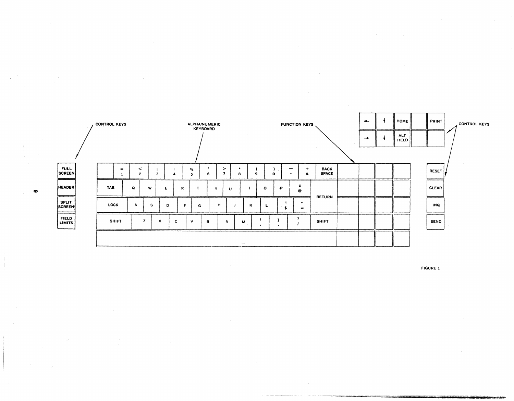

 $\bullet$ 

FIGURE 1